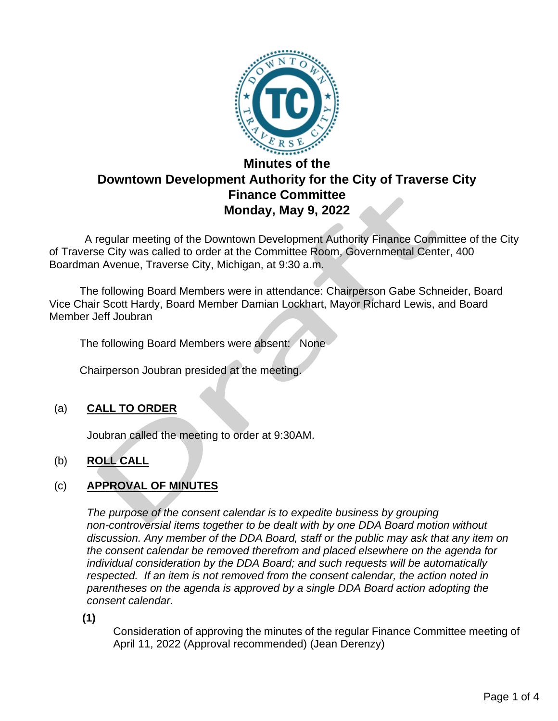

# **Minutes of the Downtown Development Authority for the City of Traverse City Finance Committee Monday, May 9, 2022**

 A regular meeting of the Downtown Development Authority Finance Committee of the City of Traverse City was called to order at the Committee Room, Governmental Center, 400 Boardman Avenue, Traverse City, Michigan, at 9:30 a.m.

The following Board Members were in attendance: Chairperson Gabe Schneider, Board Vice Chair Scott Hardy, Board Member Damian Lockhart, Mayor Richard Lewis, and Board Member Jeff Joubran

The following Board Members were absent: None

Chairperson Joubran presided at the meeting.

## (a) **CALL TO ORDER**

Joubran called the meeting to order at 9:30AM.

## (b) **ROLL CALL**

## (c) **APPROVAL OF MINUTES**

*The purpose of the consent calendar is to expedite business by grouping non-controversial items together to be dealt with by one DDA Board motion without discussion. Any member of the DDA Board, staff or the public may ask that any item on the consent calendar be removed therefrom and placed elsewhere on the agenda for individual consideration by the DDA Board; and such requests will be automatically respected. If an item is not removed from the consent calendar, the action noted in parentheses on the agenda is approved by a single DDA Board action adopting the consent calendar.*

**(1)**

Consideration of approving the minutes of the regular Finance Committee meeting of April 11, 2022 (Approval recommended) (Jean Derenzy)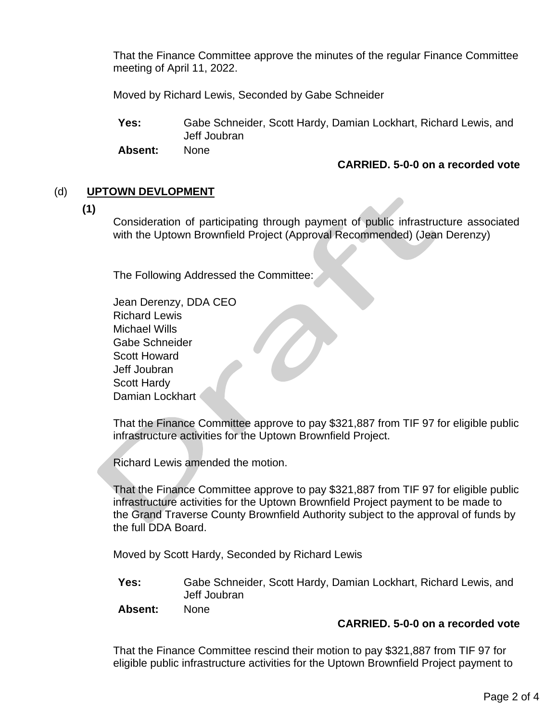That the Finance Committee approve the minutes of the regular Finance Committee meeting of April 11, 2022.

Moved by Richard Lewis, Seconded by Gabe Schneider

**Yes:** Gabe Schneider, Scott Hardy, Damian Lockhart, Richard Lewis, and Jeff Joubran

**Absent:** None

#### **CARRIED. 5-0-0 on a recorded vote**

## (d) **UPTOWN DEVLOPMENT**

**(1)**

Consideration of participating through payment of public infrastructure associated with the Uptown Brownfield Project (Approval Recommended) (Jean Derenzy)

The Following Addressed the Committee:

Jean Derenzy, DDA CEO Richard Lewis Michael Wills Gabe Schneider Scott Howard Jeff Joubran Scott Hardy Damian Lockhart

That the Finance Committee approve to pay \$321,887 from TIF 97 for eligible public infrastructure activities for the Uptown Brownfield Project.

Richard Lewis amended the motion.

That the Finance Committee approve to pay \$321,887 from TIF 97 for eligible public infrastructure activities for the Uptown Brownfield Project payment to be made to the Grand Traverse County Brownfield Authority subject to the approval of funds by the full DDA Board.

Moved by Scott Hardy, Seconded by Richard Lewis

**Yes:** Gabe Schneider, Scott Hardy, Damian Lockhart, Richard Lewis, and Jeff Joubran

**Absent:** None

## **CARRIED. 5-0-0 on a recorded vote**

That the Finance Committee rescind their motion to pay \$321,887 from TIF 97 for eligible public infrastructure activities for the Uptown Brownfield Project payment to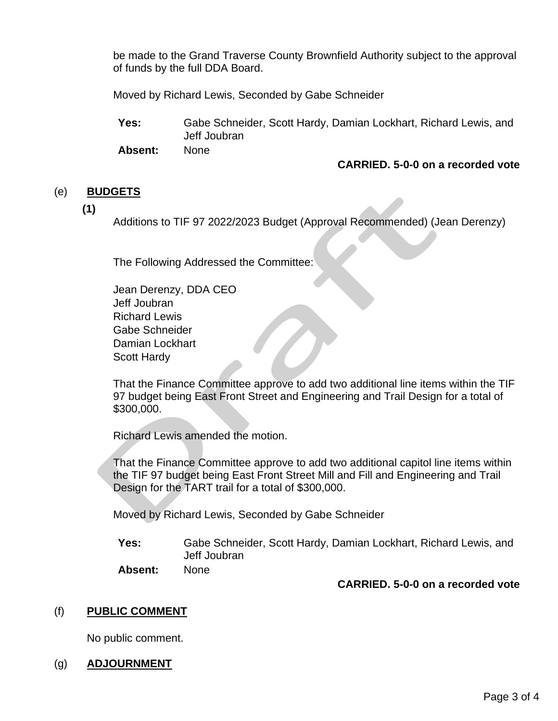be made to the Grand Traverse County Brownfield Authority subject to the approval of funds by the full DDA Board.

Moved by Richard Lewis, Seconded by Gabe Schneider

**Yes:** Gabe Schneider, Scott Hardy, Damian Lockhart, Richard Lewis, and Jeff Joubran

**Absent:** None

#### **CARRIED. 5-0-0 on a recorded vote**

#### (e) **BUDGETS**

**(1)**

Additions to TIF 97 2022/2023 Budget (Approval Recommended) (Jean Derenzy)

The Following Addressed the Committee:

Jean Derenzy, DDA CEO Jeff Joubran Richard Lewis Gabe Schneider Damian Lockhart Scott Hardy

That the Finance Committee approve to add two additional line items within the TIF 97 budget being East Front Street and Engineering and Trail Design for a total of \$300,000.

Richard Lewis amended the motion.

That the Finance Committee approve to add two additional capitol line items within the TIF 97 budget being East Front Street Mill and Fill and Engineering and Trail Design for the TART trail for a total of \$300,000.

Moved by Richard Lewis, Seconded by Gabe Schneider

**Yes:** Gabe Schneider, Scott Hardy, Damian Lockhart, Richard Lewis, and Jeff Joubran **Absent:** None

**CARRIED. 5-0-0 on a recorded vote**

#### (f) **PUBLIC COMMENT**

No public comment.

#### (g) **ADJOURNMENT**